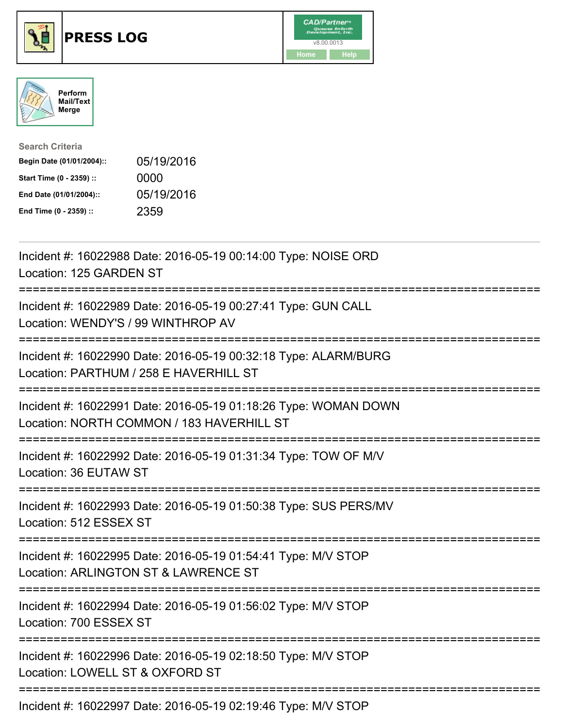





| <b>Search Criteria</b>    |            |
|---------------------------|------------|
| Begin Date (01/01/2004):: | 05/19/2016 |
| Start Time (0 - 2359) ::  | 0000       |
| End Date (01/01/2004)::   | 05/19/2016 |
| End Time (0 - 2359) ::    | 2359       |

| Incident #: 16022988 Date: 2016-05-19 00:14:00 Type: NOISE ORD<br>Location: 125 GARDEN ST<br>-----------                                      |
|-----------------------------------------------------------------------------------------------------------------------------------------------|
| Incident #: 16022989 Date: 2016-05-19 00:27:41 Type: GUN CALL<br>Location: WENDY'S / 99 WINTHROP AV                                           |
| Incident #: 16022990 Date: 2016-05-19 00:32:18 Type: ALARM/BURG<br>Location: PARTHUM / 258 E HAVERHILL ST                                     |
| Incident #: 16022991 Date: 2016-05-19 01:18:26 Type: WOMAN DOWN<br>Location: NORTH COMMON / 183 HAVERHILL ST<br>:============================ |
| Incident #: 16022992 Date: 2016-05-19 01:31:34 Type: TOW OF M/V<br>Location: 36 EUTAW ST<br>:=================================                |
| Incident #: 16022993 Date: 2016-05-19 01:50:38 Type: SUS PERS/MV<br>Location: 512 ESSEX ST                                                    |
| Incident #: 16022995 Date: 2016-05-19 01:54:41 Type: M/V STOP<br>Location: ARLINGTON ST & LAWRENCE ST                                         |
| ===============================<br>Incident #: 16022994 Date: 2016-05-19 01:56:02 Type: M/V STOP<br>Location: 700 ESSEX ST                    |
| Incident #: 16022996 Date: 2016-05-19 02:18:50 Type: M/V STOP<br>Location: LOWELL ST & OXFORD ST                                              |
| Incident #: 16022997 Date: 2016-05-19 02:19:46 Type: M/V STOP                                                                                 |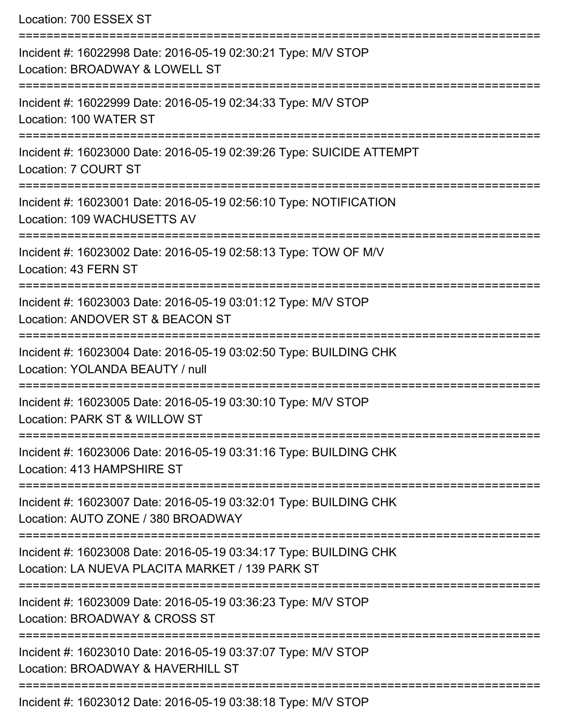Location: 700 ESSEX ST =========================================================================== Incident #: 16022998 Date: 2016-05-19 02:30:21 Type: M/V STOP Location: BROADWAY & LOWELL ST =========================================================================== Incident #: 16022999 Date: 2016-05-19 02:34:33 Type: M/V STOP Location: 100 WATER ST =========================================================================== Incident #: 16023000 Date: 2016-05-19 02:39:26 Type: SUICIDE ATTEMPT Location: 7 COURT ST =========================================================================== Incident #: 16023001 Date: 2016-05-19 02:56:10 Type: NOTIFICATION Location: 109 WACHUSETTS AV =========================================================================== Incident #: 16023002 Date: 2016-05-19 02:58:13 Type: TOW OF M/V Location: 43 FERN ST =========================================================================== Incident #: 16023003 Date: 2016-05-19 03:01:12 Type: M/V STOP Location: ANDOVER ST & BEACON ST =========================================================================== Incident #: 16023004 Date: 2016-05-19 03:02:50 Type: BUILDING CHK Location: YOLANDA BEAUTY / null =========================================================================== Incident #: 16023005 Date: 2016-05-19 03:30:10 Type: M/V STOP Location: PARK ST & WILLOW ST =========================================================================== Incident #: 16023006 Date: 2016-05-19 03:31:16 Type: BUILDING CHK Location: 413 HAMPSHIRE ST =========================================================================== Incident #: 16023007 Date: 2016-05-19 03:32:01 Type: BUILDING CHK Location: AUTO ZONE / 380 BROADWAY =========================================================================== Incident #: 16023008 Date: 2016-05-19 03:34:17 Type: BUILDING CHK Location: LA NUEVA PLACITA MARKET / 139 PARK ST =========================================================================== Incident #: 16023009 Date: 2016-05-19 03:36:23 Type: M/V STOP Location: BROADWAY & CROSS ST =========================================================================== Incident #: 16023010 Date: 2016-05-19 03:37:07 Type: M/V STOP Location: BROADWAY & HAVERHILL ST =========================================================================== Incident #: 16023012 Date: 2016-05-19 03:38:18 Type: M/V STOP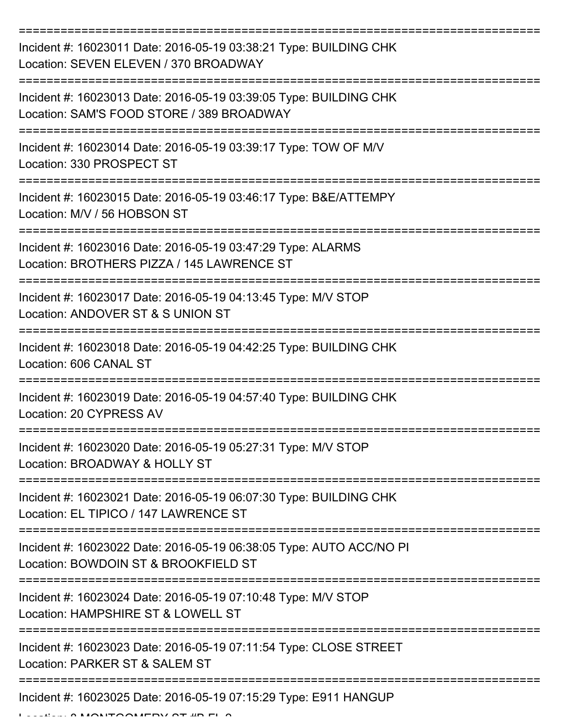| Incident #: 16023011 Date: 2016-05-19 03:38:21 Type: BUILDING CHK<br>Location: SEVEN ELEVEN / 370 BROADWAY     |
|----------------------------------------------------------------------------------------------------------------|
| Incident #: 16023013 Date: 2016-05-19 03:39:05 Type: BUILDING CHK<br>Location: SAM'S FOOD STORE / 389 BROADWAY |
| Incident #: 16023014 Date: 2016-05-19 03:39:17 Type: TOW OF M/V<br>Location: 330 PROSPECT ST                   |
| Incident #: 16023015 Date: 2016-05-19 03:46:17 Type: B&E/ATTEMPY<br>Location: M/V / 56 HOBSON ST               |
| Incident #: 16023016 Date: 2016-05-19 03:47:29 Type: ALARMS<br>Location: BROTHERS PIZZA / 145 LAWRENCE ST      |
| Incident #: 16023017 Date: 2016-05-19 04:13:45 Type: M/V STOP<br>Location: ANDOVER ST & S UNION ST             |
| Incident #: 16023018 Date: 2016-05-19 04:42:25 Type: BUILDING CHK<br>Location: 606 CANAL ST<br>:============== |
| Incident #: 16023019 Date: 2016-05-19 04:57:40 Type: BUILDING CHK<br>Location: 20 CYPRESS AV                   |
| Incident #: 16023020 Date: 2016-05-19 05:27:31 Type: M/V STOP<br>Location: BROADWAY & HOLLY ST                 |
| Incident #: 16023021 Date: 2016-05-19 06:07:30 Type: BUILDING CHK<br>Location: EL TIPICO / 147 LAWRENCE ST     |
| Incident #: 16023022 Date: 2016-05-19 06:38:05 Type: AUTO ACC/NO PI<br>Location: BOWDOIN ST & BROOKFIELD ST    |
| Incident #: 16023024 Date: 2016-05-19 07:10:48 Type: M/V STOP<br>Location: HAMPSHIRE ST & LOWELL ST            |
| Incident #: 16023023 Date: 2016-05-19 07:11:54 Type: CLOSE STREET<br>Location: PARKER ST & SALEM ST            |
| Incident #: 16023025 Date: 2016-05-19 07:15:29 Type: E911 HANGUP                                               |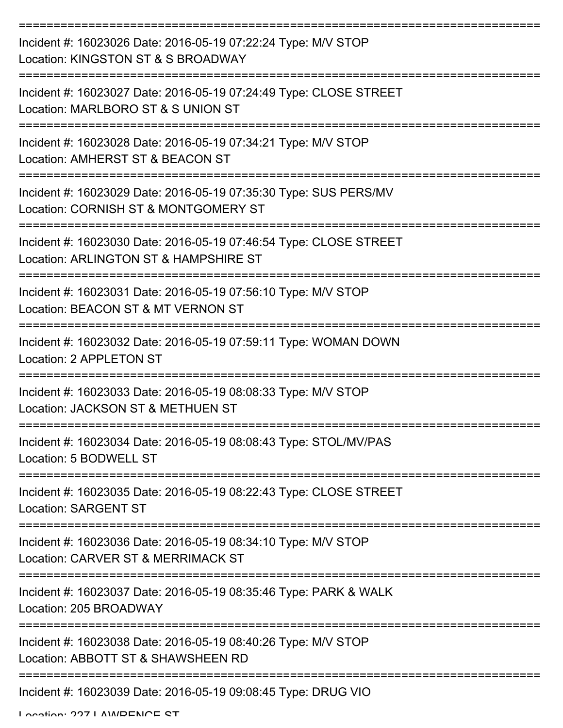| Incident #: 16023026 Date: 2016-05-19 07:22:24 Type: M/V STOP<br>Location: KINGSTON ST & S BROADWAY                |
|--------------------------------------------------------------------------------------------------------------------|
| Incident #: 16023027 Date: 2016-05-19 07:24:49 Type: CLOSE STREET<br>Location: MARLBORO ST & S UNION ST            |
| Incident #: 16023028 Date: 2016-05-19 07:34:21 Type: M/V STOP<br>Location: AMHERST ST & BEACON ST                  |
| Incident #: 16023029 Date: 2016-05-19 07:35:30 Type: SUS PERS/MV<br>Location: CORNISH ST & MONTGOMERY ST           |
| Incident #: 16023030 Date: 2016-05-19 07:46:54 Type: CLOSE STREET<br>Location: ARLINGTON ST & HAMPSHIRE ST         |
| Incident #: 16023031 Date: 2016-05-19 07:56:10 Type: M/V STOP<br>Location: BEACON ST & MT VERNON ST                |
| Incident #: 16023032 Date: 2016-05-19 07:59:11 Type: WOMAN DOWN<br>Location: 2 APPLETON ST                         |
| ============<br>Incident #: 16023033 Date: 2016-05-19 08:08:33 Type: M/V STOP<br>Location: JACKSON ST & METHUEN ST |
| Incident #: 16023034 Date: 2016-05-19 08:08:43 Type: STOL/MV/PAS<br>Location: 5 BODWELL ST                         |
| Incident #: 16023035 Date: 2016-05-19 08:22:43 Type: CLOSE STREET<br><b>Location: SARGENT ST</b>                   |
| Incident #: 16023036 Date: 2016-05-19 08:34:10 Type: M/V STOP<br>Location: CARVER ST & MERRIMACK ST                |
| Incident #: 16023037 Date: 2016-05-19 08:35:46 Type: PARK & WALK<br>Location: 205 BROADWAY                         |
| Incident #: 16023038 Date: 2016-05-19 08:40:26 Type: M/V STOP<br>Location: ABBOTT ST & SHAWSHEEN RD                |
| Incident #: 16023039 Date: 2016-05-19 09:08:45 Type: DRUG VIO                                                      |

Location: 227 LAMDENCE CT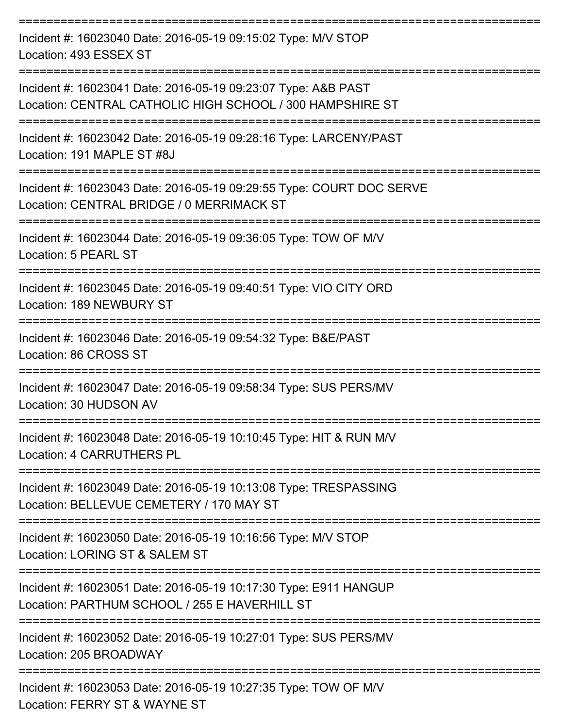| Incident #: 16023040 Date: 2016-05-19 09:15:02 Type: M/V STOP<br>Location: 493 ESSEX ST                                    |
|----------------------------------------------------------------------------------------------------------------------------|
| Incident #: 16023041 Date: 2016-05-19 09:23:07 Type: A&B PAST<br>Location: CENTRAL CATHOLIC HIGH SCHOOL / 300 HAMPSHIRE ST |
| Incident #: 16023042 Date: 2016-05-19 09:28:16 Type: LARCENY/PAST<br>Location: 191 MAPLE ST #8J                            |
| Incident #: 16023043 Date: 2016-05-19 09:29:55 Type: COURT DOC SERVE<br>Location: CENTRAL BRIDGE / 0 MERRIMACK ST          |
| Incident #: 16023044 Date: 2016-05-19 09:36:05 Type: TOW OF M/V<br>Location: 5 PEARL ST                                    |
| Incident #: 16023045 Date: 2016-05-19 09:40:51 Type: VIO CITY ORD<br>Location: 189 NEWBURY ST                              |
| Incident #: 16023046 Date: 2016-05-19 09:54:32 Type: B&E/PAST<br>Location: 86 CROSS ST                                     |
| Incident #: 16023047 Date: 2016-05-19 09:58:34 Type: SUS PERS/MV<br>Location: 30 HUDSON AV                                 |
| Incident #: 16023048 Date: 2016-05-19 10:10:45 Type: HIT & RUN M/V<br><b>Location: 4 CARRUTHERS PL</b>                     |
| Incident #: 16023049 Date: 2016-05-19 10:13:08 Type: TRESPASSING<br>Location: BELLEVUE CEMETERY / 170 MAY ST               |
| Incident #: 16023050 Date: 2016-05-19 10:16:56 Type: M/V STOP<br>Location: LORING ST & SALEM ST                            |
| Incident #: 16023051 Date: 2016-05-19 10:17:30 Type: E911 HANGUP<br>Location: PARTHUM SCHOOL / 255 E HAVERHILL ST          |
| Incident #: 16023052 Date: 2016-05-19 10:27:01 Type: SUS PERS/MV<br>Location: 205 BROADWAY                                 |
| Incident #: 16023053 Date: 2016-05-19 10:27:35 Type: TOW OF M/V<br>Location: FEDDV CT 0 WAVNE CT                           |

Location: FERRY ST & WAYNE ST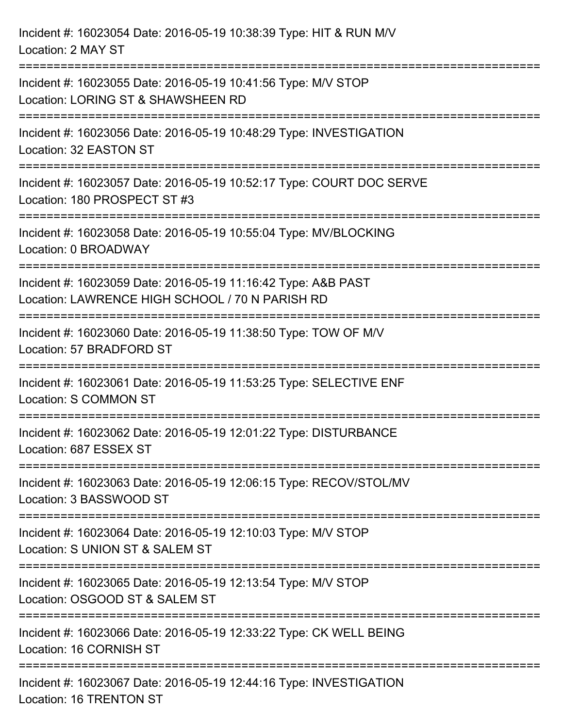| Incident #: 16023054 Date: 2016-05-19 10:38:39 Type: HIT & RUN M/V<br>Location: 2 MAY ST                         |
|------------------------------------------------------------------------------------------------------------------|
| Incident #: 16023055 Date: 2016-05-19 10:41:56 Type: M/V STOP<br>Location: LORING ST & SHAWSHEEN RD              |
| Incident #: 16023056 Date: 2016-05-19 10:48:29 Type: INVESTIGATION<br>Location: 32 EASTON ST                     |
| Incident #: 16023057 Date: 2016-05-19 10:52:17 Type: COURT DOC SERVE<br>Location: 180 PROSPECT ST #3             |
| Incident #: 16023058 Date: 2016-05-19 10:55:04 Type: MV/BLOCKING<br>Location: 0 BROADWAY                         |
| Incident #: 16023059 Date: 2016-05-19 11:16:42 Type: A&B PAST<br>Location: LAWRENCE HIGH SCHOOL / 70 N PARISH RD |
| Incident #: 16023060 Date: 2016-05-19 11:38:50 Type: TOW OF M/V<br>Location: 57 BRADFORD ST                      |
| Incident #: 16023061 Date: 2016-05-19 11:53:25 Type: SELECTIVE ENF<br>Location: S COMMON ST                      |
| Incident #: 16023062 Date: 2016-05-19 12:01:22 Type: DISTURBANCE<br>Location: 687 ESSEX ST                       |
| Incident #: 16023063 Date: 2016-05-19 12:06:15 Type: RECOV/STOL/MV<br>Location: 3 BASSWOOD ST                    |
| Incident #: 16023064 Date: 2016-05-19 12:10:03 Type: M/V STOP<br>Location: S UNION ST & SALEM ST                 |
| Incident #: 16023065 Date: 2016-05-19 12:13:54 Type: M/V STOP<br>Location: OSGOOD ST & SALEM ST                  |
| Incident #: 16023066 Date: 2016-05-19 12:33:22 Type: CK WELL BEING<br>Location: 16 CORNISH ST                    |
| Incident #: 16023067 Date: 2016-05-19 12:44:16 Type: INVESTIGATION<br><b>Location: 16 TRENTON ST</b>             |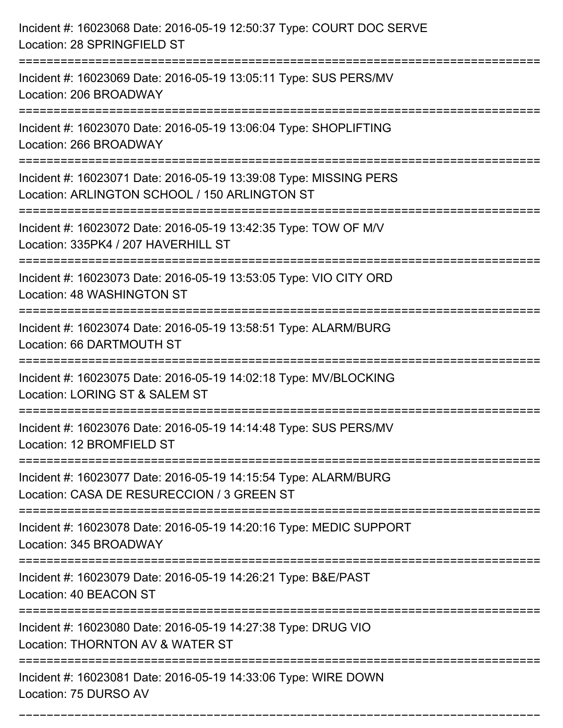| Incident #: 16023068 Date: 2016-05-19 12:50:37 Type: COURT DOC SERVE<br>Location: 28 SPRINGFIELD ST                                       |
|-------------------------------------------------------------------------------------------------------------------------------------------|
| Incident #: 16023069 Date: 2016-05-19 13:05:11 Type: SUS PERS/MV<br>Location: 206 BROADWAY                                                |
| Incident #: 16023070 Date: 2016-05-19 13:06:04 Type: SHOPLIFTING<br>Location: 266 BROADWAY                                                |
| Incident #: 16023071 Date: 2016-05-19 13:39:08 Type: MISSING PERS<br>Location: ARLINGTON SCHOOL / 150 ARLINGTON ST                        |
| Incident #: 16023072 Date: 2016-05-19 13:42:35 Type: TOW OF M/V<br>Location: 335PK4 / 207 HAVERHILL ST<br>------------------------------- |
| Incident #: 16023073 Date: 2016-05-19 13:53:05 Type: VIO CITY ORD<br>Location: 48 WASHINGTON ST                                           |
| Incident #: 16023074 Date: 2016-05-19 13:58:51 Type: ALARM/BURG<br>Location: 66 DARTMOUTH ST                                              |
| Incident #: 16023075 Date: 2016-05-19 14:02:18 Type: MV/BLOCKING<br>Location: LORING ST & SALEM ST                                        |
| Incident #: 16023076 Date: 2016-05-19 14:14:48 Type: SUS PERS/MV<br>Location: 12 BROMFIELD ST<br>==================                       |
| Incident #: 16023077 Date: 2016-05-19 14:15:54 Type: ALARM/BURG<br>Location: CASA DE RESURECCION / 3 GREEN ST                             |
| Incident #: 16023078 Date: 2016-05-19 14:20:16 Type: MEDIC SUPPORT<br>Location: 345 BROADWAY                                              |
| Incident #: 16023079 Date: 2016-05-19 14:26:21 Type: B&E/PAST<br>Location: 40 BEACON ST                                                   |
| Incident #: 16023080 Date: 2016-05-19 14:27:38 Type: DRUG VIO<br>Location: THORNTON AV & WATER ST                                         |
| Incident #: 16023081 Date: 2016-05-19 14:33:06 Type: WIRE DOWN<br>Location: 75 DURSO AV                                                   |

===========================================================================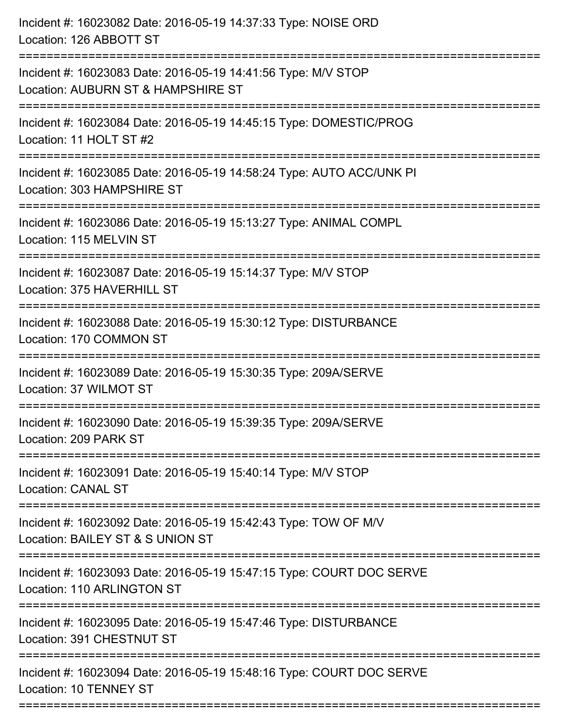| Incident #: 16023082 Date: 2016-05-19 14:37:33 Type: NOISE ORD<br>Location: 126 ABBOTT ST                                 |
|---------------------------------------------------------------------------------------------------------------------------|
| Incident #: 16023083 Date: 2016-05-19 14:41:56 Type: M/V STOP<br>Location: AUBURN ST & HAMPSHIRE ST                       |
| Incident #: 16023084 Date: 2016-05-19 14:45:15 Type: DOMESTIC/PROG<br>Location: 11 HOLT ST #2                             |
| Incident #: 16023085 Date: 2016-05-19 14:58:24 Type: AUTO ACC/UNK PI<br>Location: 303 HAMPSHIRE ST                        |
| Incident #: 16023086 Date: 2016-05-19 15:13:27 Type: ANIMAL COMPL<br>Location: 115 MELVIN ST                              |
| Incident #: 16023087 Date: 2016-05-19 15:14:37 Type: M/V STOP<br>Location: 375 HAVERHILL ST                               |
| Incident #: 16023088 Date: 2016-05-19 15:30:12 Type: DISTURBANCE<br>Location: 170 COMMON ST                               |
| Incident #: 16023089 Date: 2016-05-19 15:30:35 Type: 209A/SERVE<br>Location: 37 WILMOT ST                                 |
| Incident #: 16023090 Date: 2016-05-19 15:39:35 Type: 209A/SERVE<br>Location: 209 PARK ST                                  |
| Incident #: 16023091 Date: 2016-05-19 15:40:14 Type: M/V STOP<br><b>Location: CANAL ST</b>                                |
| Incident #: 16023092 Date: 2016-05-19 15:42:43 Type: TOW OF M/V<br>Location: BAILEY ST & S UNION ST                       |
| Incident #: 16023093 Date: 2016-05-19 15:47:15 Type: COURT DOC SERVE<br>Location: 110 ARLINGTON ST                        |
| ------------------------<br>Incident #: 16023095 Date: 2016-05-19 15:47:46 Type: DISTURBANCE<br>Location: 391 CHESTNUT ST |
| =================<br>Incident #: 16023094 Date: 2016-05-19 15:48:16 Type: COURT DOC SERVE<br>Location: 10 TENNEY ST       |
|                                                                                                                           |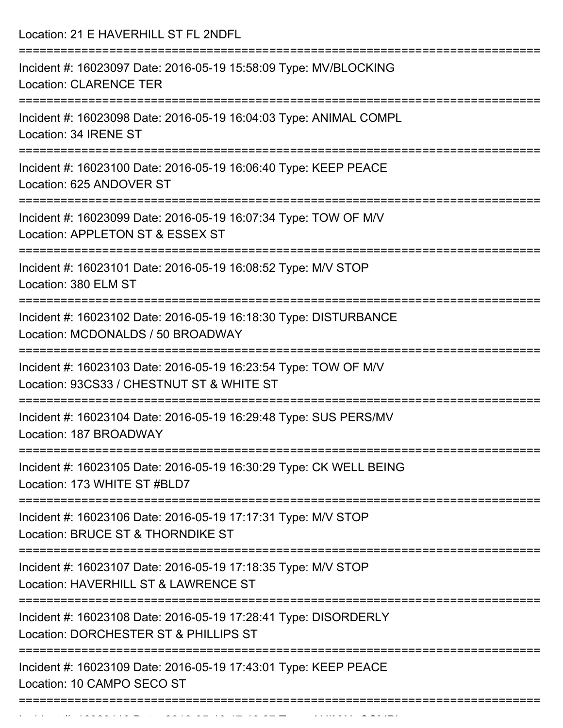Location: 21 E HAVERHILL ST FL 2NDFL =========================================================================== Incident #: 16023097 Date: 2016-05-19 15:58:09 Type: MV/BLOCKING Location: CLARENCE TER =========================================================================== Incident #: 16023098 Date: 2016-05-19 16:04:03 Type: ANIMAL COMPL Location: 34 IRENE ST =========================================================================== Incident #: 16023100 Date: 2016-05-19 16:06:40 Type: KEEP PEACE Location: 625 ANDOVER ST =========================================================================== Incident #: 16023099 Date: 2016-05-19 16:07:34 Type: TOW OF M/V Location: APPLETON ST & ESSEX ST =========================================================================== Incident #: 16023101 Date: 2016-05-19 16:08:52 Type: M/V STOP Location: 380 ELM ST =========================================================================== Incident #: 16023102 Date: 2016-05-19 16:18:30 Type: DISTURBANCE Location: MCDONALDS / 50 BROADWAY =========================================================================== Incident #: 16023103 Date: 2016-05-19 16:23:54 Type: TOW OF M/V Location: 93CS33 / CHESTNUT ST & WHITE ST =========================================================================== Incident #: 16023104 Date: 2016-05-19 16:29:48 Type: SUS PERS/MV Location: 187 BROADWAY =========================================================================== Incident #: 16023105 Date: 2016-05-19 16:30:29 Type: CK WELL BEING Location: 173 WHITE ST #BLD7 =========================================================================== Incident #: 16023106 Date: 2016-05-19 17:17:31 Type: M/V STOP Location: BRUCE ST & THORNDIKE ST =========================================================================== Incident #: 16023107 Date: 2016-05-19 17:18:35 Type: M/V STOP Location: HAVERHILL ST & LAWRENCE ST =========================================================================== Incident #: 16023108 Date: 2016-05-19 17:28:41 Type: DISORDERLY Location: DORCHESTER ST & PHILLIPS ST =========================================================================== Incident #: 16023109 Date: 2016-05-19 17:43:01 Type: KEEP PEACE Location: 10 CAMPO SECO ST ===========================================================================

Incident #: 16023110 Date: 2016 05 19 17:46:27 Type: ANIMAL COMPL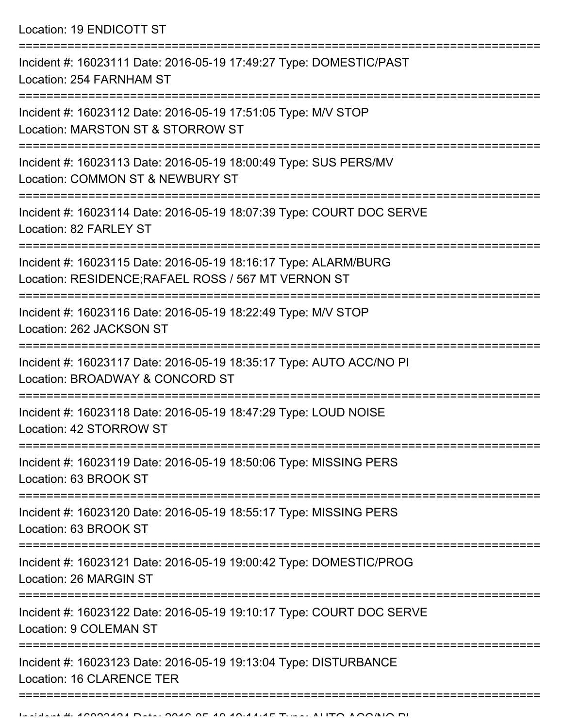Location: 19 ENDICOTT ST

| Incident #: 16023111 Date: 2016-05-19 17:49:27 Type: DOMESTIC/PAST<br>Location: 254 FARNHAM ST                         |
|------------------------------------------------------------------------------------------------------------------------|
| Incident #: 16023112 Date: 2016-05-19 17:51:05 Type: M/V STOP<br>Location: MARSTON ST & STORROW ST                     |
| Incident #: 16023113 Date: 2016-05-19 18:00:49 Type: SUS PERS/MV<br>Location: COMMON ST & NEWBURY ST                   |
| Incident #: 16023114 Date: 2016-05-19 18:07:39 Type: COURT DOC SERVE<br>Location: 82 FARLEY ST                         |
| Incident #: 16023115 Date: 2016-05-19 18:16:17 Type: ALARM/BURG<br>Location: RESIDENCE; RAFAEL ROSS / 567 MT VERNON ST |
| Incident #: 16023116 Date: 2016-05-19 18:22:49 Type: M/V STOP<br>Location: 262 JACKSON ST                              |
| Incident #: 16023117 Date: 2016-05-19 18:35:17 Type: AUTO ACC/NO PI<br>Location: BROADWAY & CONCORD ST                 |
| Incident #: 16023118 Date: 2016-05-19 18:47:29 Type: LOUD NOISE<br>Location: 42 STORROW ST                             |
| Incident #: 16023119 Date: 2016-05-19 18:50:06 Type: MISSING PERS<br>Location: 63 BROOK ST                             |
| Incident #: 16023120 Date: 2016-05-19 18:55:17 Type: MISSING PERS<br>Location: 63 BROOK ST                             |
| Incident #: 16023121 Date: 2016-05-19 19:00:42 Type: DOMESTIC/PROG<br>Location: 26 MARGIN ST                           |
| Incident #: 16023122 Date: 2016-05-19 19:10:17 Type: COURT DOC SERVE<br>Location: 9 COLEMAN ST                         |
| Incident #: 16023123 Date: 2016-05-19 19:13:04 Type: DISTURBANCE<br>Location: 16 CLARENCE TER                          |
|                                                                                                                        |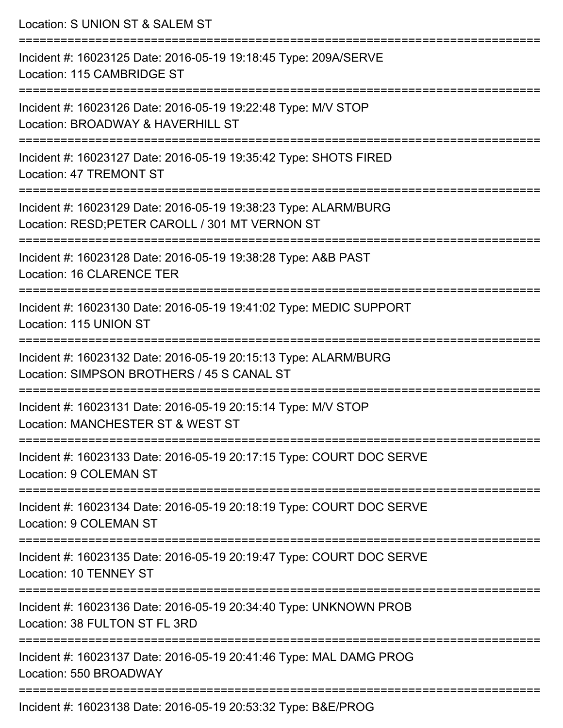| --------------------- | Location: S UNION ST & SALEM ST                                                                                    |
|-----------------------|--------------------------------------------------------------------------------------------------------------------|
|                       | Incident #: 16023125 Date: 2016-05-19 19:18:45 Type: 209A/SERVE<br>Location: 115 CAMBRIDGE ST                      |
|                       | Incident #: 16023126 Date: 2016-05-19 19:22:48 Type: M/V STOP<br>Location: BROADWAY & HAVERHILL ST                 |
|                       | Incident #: 16023127 Date: 2016-05-19 19:35:42 Type: SHOTS FIRED<br><b>Location: 47 TREMONT ST</b>                 |
|                       | Incident #: 16023129 Date: 2016-05-19 19:38:23 Type: ALARM/BURG<br>Location: RESD; PETER CAROLL / 301 MT VERNON ST |
|                       | Incident #: 16023128 Date: 2016-05-19 19:38:28 Type: A&B PAST<br><b>Location: 16 CLARENCE TER</b>                  |
|                       | Incident #: 16023130 Date: 2016-05-19 19:41:02 Type: MEDIC SUPPORT<br>Location: 115 UNION ST                       |
|                       | Incident #: 16023132 Date: 2016-05-19 20:15:13 Type: ALARM/BURG<br>Location: SIMPSON BROTHERS / 45 S CANAL ST      |
|                       | Incident #: 16023131 Date: 2016-05-19 20:15:14 Type: M/V STOP<br>Location: MANCHESTER ST & WEST ST                 |
|                       | Incident #: 16023133 Date: 2016-05-19 20:17:15 Type: COURT DOC SERVE<br>Location: 9 COLEMAN ST                     |
|                       | Incident #: 16023134 Date: 2016-05-19 20:18:19 Type: COURT DOC SERVE<br><b>Location: 9 COLEMAN ST</b>              |
|                       | Incident #: 16023135 Date: 2016-05-19 20:19:47 Type: COURT DOC SERVE<br>Location: 10 TENNEY ST                     |
|                       | Incident #: 16023136 Date: 2016-05-19 20:34:40 Type: UNKNOWN PROB<br>Location: 38 FULTON ST FL 3RD                 |
|                       | Incident #: 16023137 Date: 2016-05-19 20:41:46 Type: MAL DAMG PROG<br>Location: 550 BROADWAY                       |

Incident #: 16023138 Date: 2016-05-19 20:53:32 Type: B&E/PROG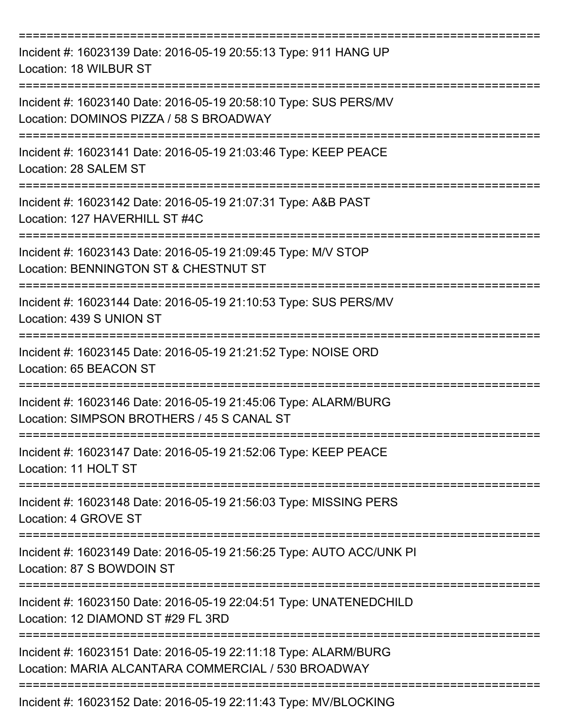| Incident #: 16023139 Date: 2016-05-19 20:55:13 Type: 911 HANG UP<br>Location: 18 WILBUR ST                                |
|---------------------------------------------------------------------------------------------------------------------------|
| Incident #: 16023140 Date: 2016-05-19 20:58:10 Type: SUS PERS/MV<br>Location: DOMINOS PIZZA / 58 S BROADWAY               |
| Incident #: 16023141 Date: 2016-05-19 21:03:46 Type: KEEP PEACE<br>Location: 28 SALEM ST                                  |
| Incident #: 16023142 Date: 2016-05-19 21:07:31 Type: A&B PAST<br>Location: 127 HAVERHILL ST #4C                           |
| ===============<br>Incident #: 16023143 Date: 2016-05-19 21:09:45 Type: M/V STOP<br>Location: BENNINGTON ST & CHESTNUT ST |
| Incident #: 16023144 Date: 2016-05-19 21:10:53 Type: SUS PERS/MV<br>Location: 439 S UNION ST                              |
| Incident #: 16023145 Date: 2016-05-19 21:21:52 Type: NOISE ORD<br>Location: 65 BEACON ST                                  |
| Incident #: 16023146 Date: 2016-05-19 21:45:06 Type: ALARM/BURG<br>Location: SIMPSON BROTHERS / 45 S CANAL ST             |
| Incident #: 16023147 Date: 2016-05-19 21:52:06 Type: KEEP PEACE<br>Location: 11 HOLT ST                                   |
| Incident #: 16023148 Date: 2016-05-19 21:56:03 Type: MISSING PERS<br>Location: 4 GROVE ST                                 |
| Incident #: 16023149 Date: 2016-05-19 21:56:25 Type: AUTO ACC/UNK PI<br>Location: 87 S BOWDOIN ST                         |
| Incident #: 16023150 Date: 2016-05-19 22:04:51 Type: UNATENEDCHILD<br>Location: 12 DIAMOND ST #29 FL 3RD                  |
| Incident #: 16023151 Date: 2016-05-19 22:11:18 Type: ALARM/BURG<br>Location: MARIA ALCANTARA COMMERCIAL / 530 BROADWAY    |
| Incident #: 16023152 Date: 2016-05-19 22:11:43 Type: MV/BLOCKING                                                          |